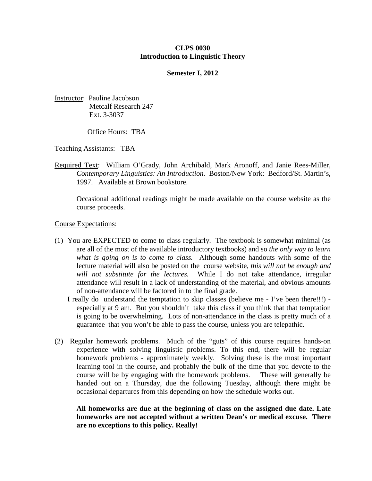## **CLPS 0030 Introduction to Linguistic Theory**

### **Semester I, 2012**

Instructor: Pauline Jacobson Metcalf Research 247 Ext. 3-3037

Office Hours: TBA

Teaching Assistants: TBA

Required Text: William O'Grady, John Archibald, Mark Aronoff, and Janie Rees-Miller, *Contemporary Linguistics: An Introduction.* Boston/New York: Bedford/St. Martin's, 1997. Available at Brown bookstore.

Occasional additional readings might be made available on the course website as the course proceeds.

Course Expectations:

- (1) You are EXPECTED to come to class regularly. The textbook is somewhat minimal (as are all of the most of the available introductory textbooks) and so *the only way to learn what is going on is to come to class.* Although some handouts with some of the lecture material will also be posted on the course website, *this will not be enough and will not substitute for the lectures.* While I do not take attendance, irregular attendance will result in a lack of understanding of the material, and obvious amounts of non-attendance will be factored in to the final grade.
	- I really do understand the temptation to skip classes (believe me I've been there!!!) especially at 9 am. But you shouldn't take this class if you think that that temptation is going to be overwhelming. Lots of non-attendance in the class is pretty much of a guarantee that you won't be able to pass the course, unless you are telepathic.
- (2) Regular homework problems. Much of the "guts" of this course requires hands-on experience with solving linguistic problems. To this end, there will be regular homework problems - approximately weekly. Solving these is the most important learning tool in the course, and probably the bulk of the time that you devote to the course will be by engaging with the homework problems. These will generally be handed out on a Thursday, due the following Tuesday, although there might be occasional departures from this depending on how the schedule works out.

**All homeworks are due at the beginning of class on the assigned due date. Late homeworks are not accepted without a written Dean's or medical excuse. There are no exceptions to this policy. Really!**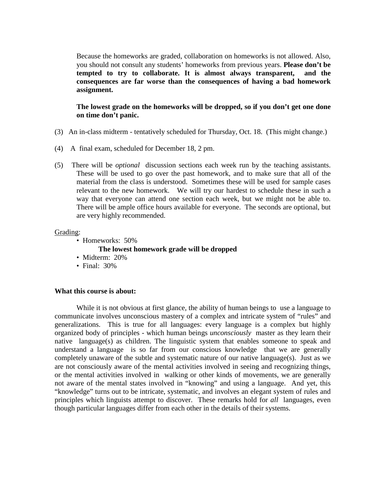Because the homeworks are graded, collaboration on homeworks is not allowed. Also, you should not consult any students' homeworks from previous years. **Please don't be tempted to try to collaborate. It is almost always transparent, and the consequences are far worse than the consequences of having a bad homework assignment.** 

**The lowest grade on the homeworks will be dropped, so if you don't get one done on time don't panic.** 

- (3) An in-class midterm tentatively scheduled for Thursday, Oct. 18. (This might change.)
- (4) A final exam, scheduled for December 18, 2 pm.
- (5) There will be *optional* discussion sections each week run by the teaching assistants. These will be used to go over the past homework, and to make sure that all of the material from the class is understood. Sometimes these will be used for sample cases relevant to the new homework. We will try our hardest to schedule these in such a way that everyone can attend one section each week, but we might not be able to. There will be ample office hours available for everyone. The seconds are optional, but are very highly recommended.

#### Grading:

- Homeworks: 50%
	- **The lowest homework grade will be dropped**
- Midterm: 20%
- Final: 30%

#### **What this course is about:**

While it is not obvious at first glance, the ability of human beings to use a language to communicate involves unconscious mastery of a complex and intricate system of "rules" and generalizations. This is true for all languages: every language is a complex but highly organized body of principles - which human beings *unconsciously* master as they learn their native language(s) as children. The linguistic system that enables someone to speak and understand a language is so far from our conscious knowledge that we are generally completely unaware of the subtle and systematic nature of our native language(s). Just as we are not consciously aware of the mental activities involved in seeing and recognizing things, or the mental activities involved in walking or other kinds of movements, we are generally not aware of the mental states involved in "knowing" and using a language. And yet, this "knowledge" turns out to be intricate, systematic, and involves an elegant system of rules and principles which linguists attempt to discover. These remarks hold for *all* languages, even though particular languages differ from each other in the details of their systems.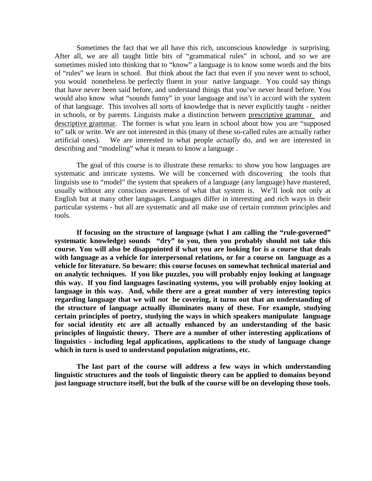Sometimes the fact that we all have this rich, unconscious knowledge is surprising. After all, we are all taught little bits of "grammatical rules" in school, and so we are sometimes misled into thinking that to "know" a language is to know some words and the bits of "rules" we learn in school. But think about the fact that even if you never went to school, you would nonetheless be perfectly fluent in your native language. You could say things that have never been said before, and understand things that you've never heard before. You would also know what "sounds funny" in your language and isn't in accord with the system of that language. This involves all sorts of knowledge that is never explicitly taught - neither in schools, or by parents. Linguists make a distinction between prescriptive grammar and descriptive grammar. The former is what you learn in school about how you are "supposed to" talk or write. We are not interested in this (many of these so-called rules are actually rather artificial ones). We are interested in what people *actually* do, and we are interested in describing and "modeling" what it means to know a language .

The goal of this course is to illustrate these remarks: to show you how languages are systematic and intricate systems. We will be concerned with discovering the tools that linguists use to "model" the system that speakers of a language (any language) have mastered, usually without any conscious awareness of what that system is. We'll look not only at English but at many other languages. Languages differ in interesting and rich ways in their particular systems - but all are systematic and all make use of certain common principles and tools.

**If focusing on the structure of language (what I am calling the "rule-governed" systematic knowledge) sounds "dry" to you, then you probably should not take this course. You will also be disappointed if what you are looking for is a course that deals with language as a vehicle for interpersonal relations, or for a course on language as a vehicle for literature. So beware: this course focuses on somewhat technical material and on analytic techniques. If you like puzzles, you will probably enjoy looking at language this way. If you find languages fascinating systems, you will probably enjoy looking at language in this way. And, while there are a great number of very interesting topics regarding language that we will** *not* **be covering, it turns out that an understanding of the structure of language actually illuminates many of these. For example, studying certain principles of poetry, studying the ways in which speakers manipulate language for social identity etc are all actually enhanced by an understanding of the basic principles of linguistic theory. There are a number of other interesting applications of linguistics - including legal applications, applications to the study of language change which in turn is used to understand population migrations, etc.** 

**The last part of the course will address a few ways in which understanding linguistic structures and the tools of linguistic theory can be applied to domains beyond just language structure itself, but the bulk of the course will be on developing those tools.**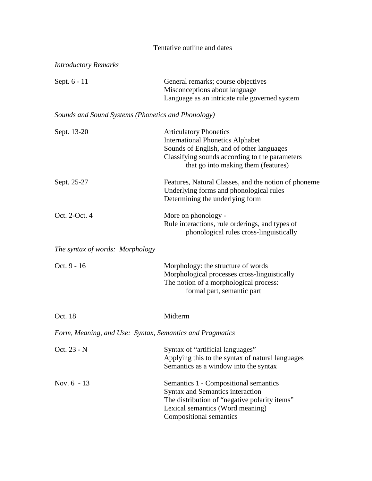# Tentative outline and dates

| <b>Introductory Remarks</b>                              |                                                                                                                                                                                                                |
|----------------------------------------------------------|----------------------------------------------------------------------------------------------------------------------------------------------------------------------------------------------------------------|
| Sept. 6 - 11                                             | General remarks; course objectives<br>Misconceptions about language<br>Language as an intricate rule governed system                                                                                           |
| Sounds and Sound Systems (Phonetics and Phonology)       |                                                                                                                                                                                                                |
| Sept. 13-20                                              | <b>Articulatory Phonetics</b><br><b>International Phonetics Alphabet</b><br>Sounds of English, and of other languages<br>Classifying sounds according to the parameters<br>that go into making them (features) |
| Sept. 25-27                                              | Features, Natural Classes, and the notion of phoneme<br>Underlying forms and phonological rules<br>Determining the underlying form                                                                             |
| Oct. 2-Oct. 4                                            | More on phonology -<br>Rule interactions, rule orderings, and types of<br>phonological rules cross-linguistically                                                                                              |
| The syntax of words: Morphology                          |                                                                                                                                                                                                                |
| Oct. 9 - 16                                              | Morphology: the structure of words<br>Morphological processes cross-linguistically<br>The notion of a morphological process:<br>formal part, semantic part                                                     |
| Oct. 18                                                  | Midterm                                                                                                                                                                                                        |
| Form, Meaning, and Use: Syntax, Semantics and Pragmatics |                                                                                                                                                                                                                |
| Oct. 23 - N                                              | Syntax of "artificial languages"<br>Applying this to the syntax of natural languages<br>Semantics as a window into the syntax                                                                                  |
| Nov. $6 - 13$                                            | Semantics 1 - Compositional semantics<br>Syntax and Semantics interaction<br>The distribution of "negative polarity items"<br>Lexical semantics (Word meaning)<br>Compositional semantics                      |